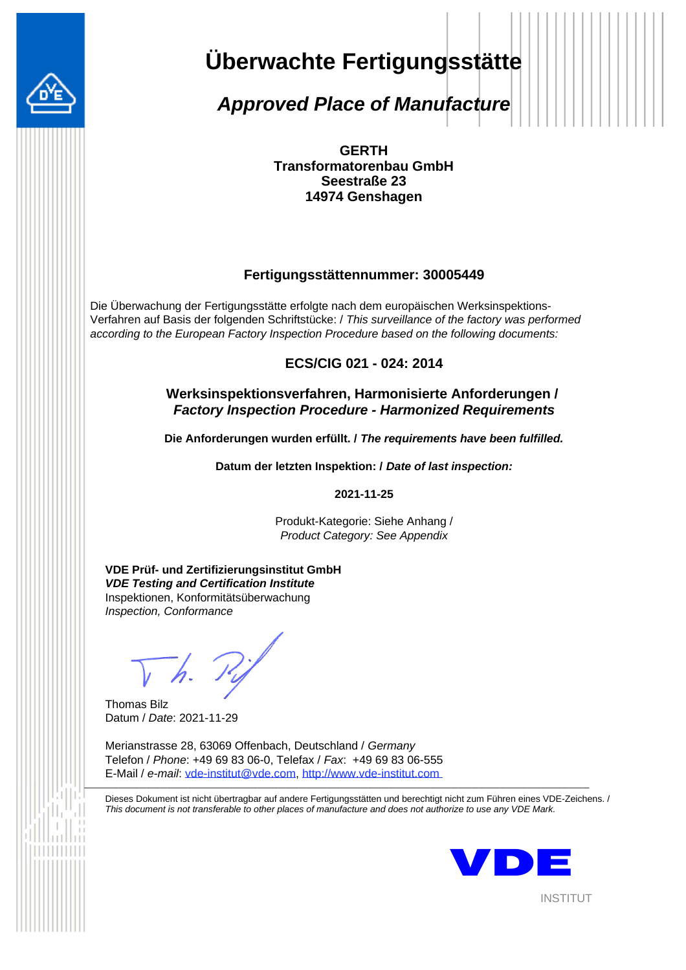

# **Überwachte Fertigungsstätte**

*Approved Place of Manufacture*

**GERTH Transformatorenbau GmbH Seestraße 23 14974 Genshagen**

#### **Fertigungsstättennummer: 30005449**

Die Überwachung der Fertigungsstätte erfolgte nach dem europäischen Werksinspektions-Verfahren auf Basis der folgenden Schriftstücke: / *This surveillance of the factory was performed according to the European Factory Inspection Procedure based on the following documents:*

**ECS/CIG 021 - 024: 2014**

#### **Werksinspektionsverfahren, Harmonisierte Anforderungen /**  *Factory Inspection Procedure - Harmonized Requirements*

**Die Anforderungen wurden erfüllt. /** *The requirements have been fulfilled.*

**Datum der letzten Inspektion: /** *Date of last inspection:*

**2021-11-25**

Produkt-Kategorie: Siehe Anhang / *Product Category: See Appendix*

**VDE Prüf- und Zertifizierungsinstitut GmbH** *VDE Testing and Certification Institute* Inspektionen, Konformitätsüberwachung *Inspection, Conformance*

Thomas Bilz Datum / *Date*: 2021-11-29

Merianstrasse 28, 63069 Offenbach, Deutschland / *Germany* Telefon / *Phone*: +49 69 83 06-0, Telefax / *Fax*: +49 69 83 06-555 E-Mail / *e-mail*: vde-institut@vde.com, http://www.vde-institut.com  $\overline{\phantom{a}}$  , and the contribution of  $\overline{\phantom{a}}$  , and  $\overline{\phantom{a}}$  , and  $\overline{\phantom{a}}$  , and  $\overline{\phantom{a}}$  , and  $\overline{\phantom{a}}$  , and  $\overline{\phantom{a}}$ 

Dieses Dokument ist nicht übertragbar auf andere Fertigungsstätten und berechtigt nicht zum Führen eines VDE-Zeichens. / *This document is not transferable to other places of manufacture and does not authorize to use any VDE Mark.*